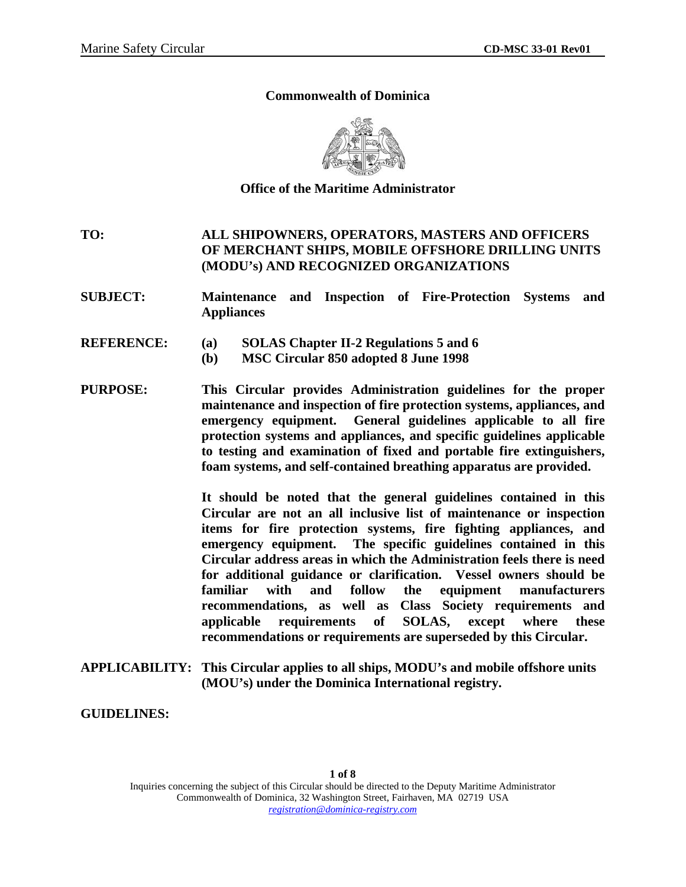#### **Commonwealth of Dominica**



**Office of the Maritime Administrator** 

**TO: ALL SHIPOWNERS, OPERATORS, MASTERS AND OFFICERS OF MERCHANT SHIPS, MOBILE OFFSHORE DRILLING UNITS (MODU's) AND RECOGNIZED ORGANIZATIONS** 

- **SUBJECT: Maintenance and Inspection of Fire-Protection Systems and Appliances**
- **REFERENCE: (a) SOLAS Chapter II-2 Regulations 5 and 6** 
	- **(b) MSC Circular 850 adopted 8 June 1998**
- **PURPOSE: This Circular provides Administration guidelines for the proper maintenance and inspection of fire protection systems, appliances, and emergency equipment. General guidelines applicable to all fire protection systems and appliances, and specific guidelines applicable to testing and examination of fixed and portable fire extinguishers, foam systems, and self-contained breathing apparatus are provided.**

 **It should be noted that the general guidelines contained in this Circular are not an all inclusive list of maintenance or inspection items for fire protection systems, fire fighting appliances, and emergency equipment. The specific guidelines contained in this Circular address areas in which the Administration feels there is need for additional guidance or clarification. Vessel owners should be familiar with and follow the equipment manufacturers recommendations, as well as Class Society requirements and applicable requirements of SOLAS, except where these recommendations or requirements are superseded by this Circular.** 

**APPLICABILITY: This Circular applies to all ships, MODU's and mobile offshore units (MOU's) under the Dominica International registry.** 

**GUIDELINES:**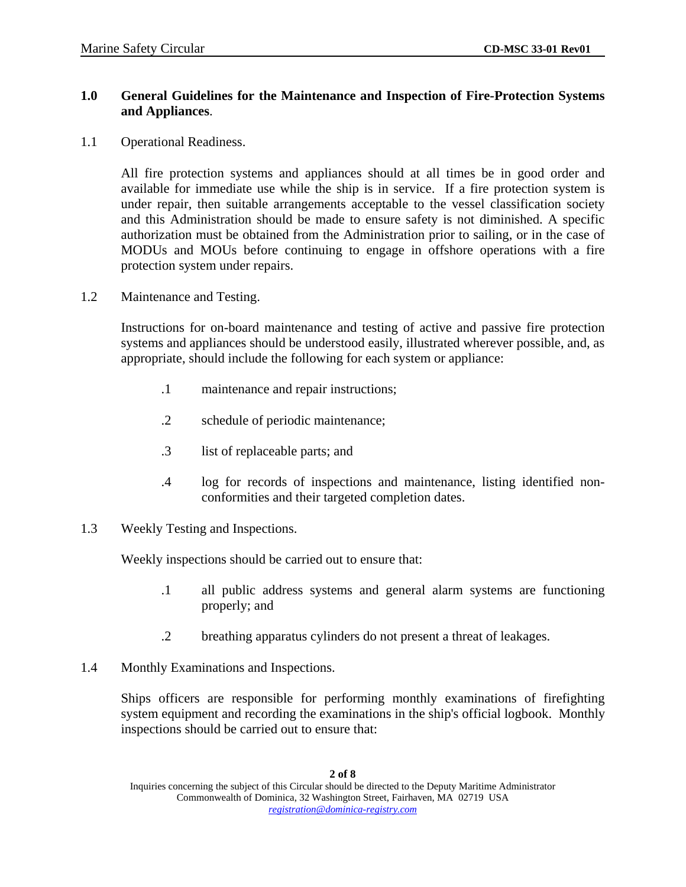# **1.0 General Guidelines for the Maintenance and Inspection of Fire-Protection Systems and Appliances**.

1.1 Operational Readiness.

All fire protection systems and appliances should at all times be in good order and available for immediate use while the ship is in service. If a fire protection system is under repair, then suitable arrangements acceptable to the vessel classification society and this Administration should be made to ensure safety is not diminished. A specific authorization must be obtained from the Administration prior to sailing, or in the case of MODUs and MOUs before continuing to engage in offshore operations with a fire protection system under repairs.

1.2 Maintenance and Testing.

Instructions for on-board maintenance and testing of active and passive fire protection systems and appliances should be understood easily, illustrated wherever possible, and, as appropriate, should include the following for each system or appliance:

- .1 maintenance and repair instructions;
- .2 schedule of periodic maintenance;
- .3 list of replaceable parts; and
- .4 log for records of inspections and maintenance, listing identified nonconformities and their targeted completion dates.
- 1.3 Weekly Testing and Inspections.

Weekly inspections should be carried out to ensure that:

- .1 all public address systems and general alarm systems are functioning properly; and
- .2 breathing apparatus cylinders do not present a threat of leakages.
- 1.4 Monthly Examinations and Inspections.

Ships officers are responsible for performing monthly examinations of firefighting system equipment and recording the examinations in the ship's official logbook. Monthly inspections should be carried out to ensure that: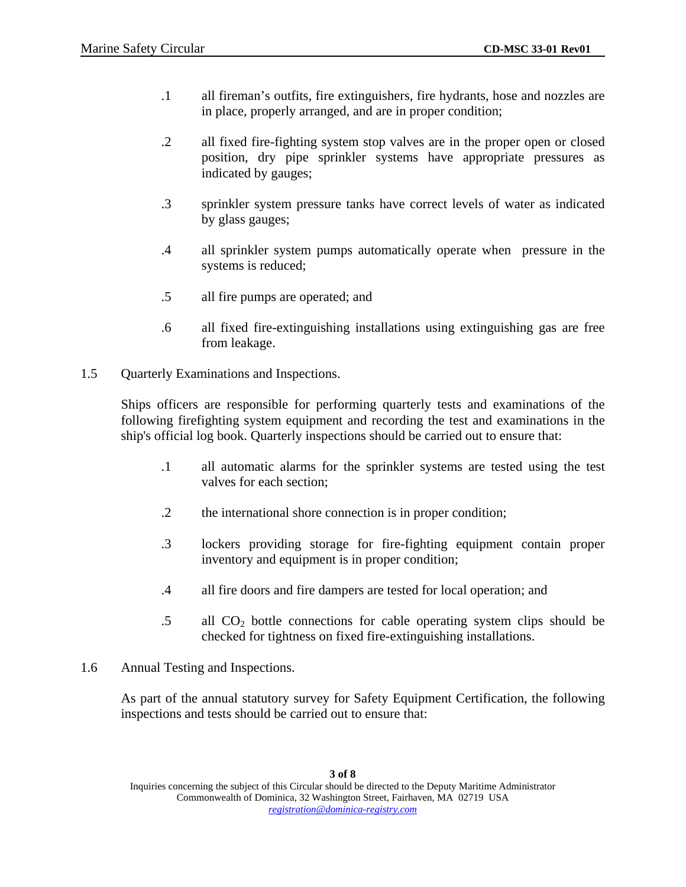- .1 all fireman's outfits, fire extinguishers, fire hydrants, hose and nozzles are in place, properly arranged, and are in proper condition;
- .2 all fixed fire-fighting system stop valves are in the proper open or closed position, dry pipe sprinkler systems have appropriate pressures as indicated by gauges;
- .3 sprinkler system pressure tanks have correct levels of water as indicated by glass gauges;
- .4 all sprinkler system pumps automatically operate when pressure in the systems is reduced;
- .5 all fire pumps are operated; and
- .6 all fixed fire-extinguishing installations using extinguishing gas are free from leakage.
- 1.5 Quarterly Examinations and Inspections.

Ships officers are responsible for performing quarterly tests and examinations of the following firefighting system equipment and recording the test and examinations in the ship's official log book. Quarterly inspections should be carried out to ensure that:

- .1 all automatic alarms for the sprinkler systems are tested using the test valves for each section;
- .2 the international shore connection is in proper condition;
- .3 lockers providing storage for fire-fighting equipment contain proper inventory and equipment is in proper condition;
- .4 all fire doors and fire dampers are tested for local operation; and
- $.5$  all  $CO<sub>2</sub>$  bottle connections for cable operating system clips should be checked for tightness on fixed fire-extinguishing installations.
- 1.6 Annual Testing and Inspections.

As part of the annual statutory survey for Safety Equipment Certification, the following inspections and tests should be carried out to ensure that: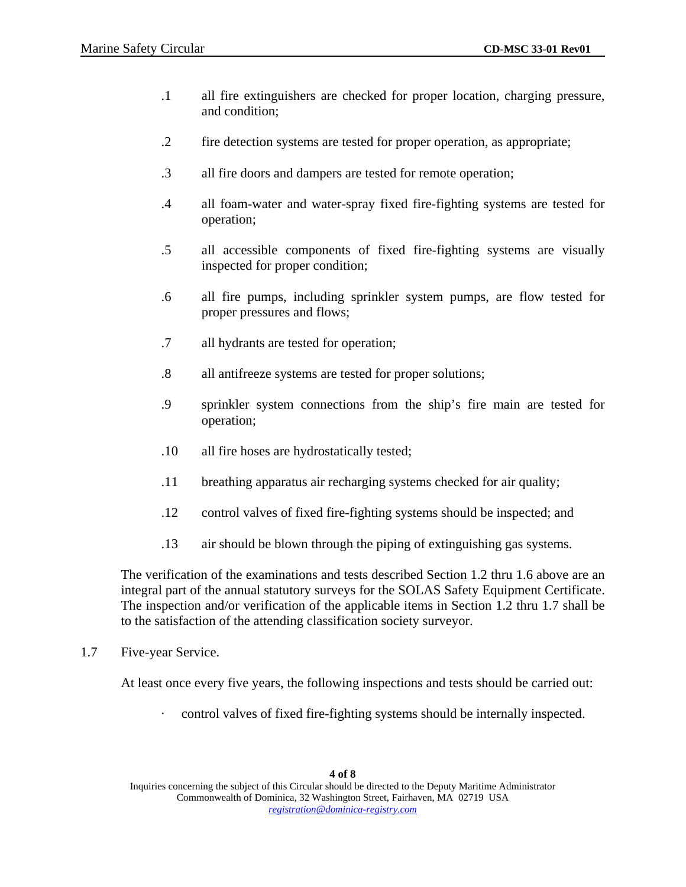- .1 all fire extinguishers are checked for proper location, charging pressure, and condition;
- .2 fire detection systems are tested for proper operation, as appropriate;
- .3 all fire doors and dampers are tested for remote operation;
- .4 all foam-water and water-spray fixed fire-fighting systems are tested for operation;
- .5 all accessible components of fixed fire-fighting systems are visually inspected for proper condition;
- .6 all fire pumps, including sprinkler system pumps, are flow tested for proper pressures and flows;
- .7 all hydrants are tested for operation;
- .8 all antifreeze systems are tested for proper solutions;
- .9 sprinkler system connections from the ship's fire main are tested for operation;
- .10 all fire hoses are hydrostatically tested;
- .11 breathing apparatus air recharging systems checked for air quality;
- .12 control valves of fixed fire-fighting systems should be inspected; and
- .13 air should be blown through the piping of extinguishing gas systems.

The verification of the examinations and tests described Section 1.2 thru 1.6 above are an integral part of the annual statutory surveys for the SOLAS Safety Equipment Certificate. The inspection and/or verification of the applicable items in Section 1.2 thru 1.7 shall be to the satisfaction of the attending classification society surveyor.

1.7 Five-year Service.

At least once every five years, the following inspections and tests should be carried out:

control valves of fixed fire-fighting systems should be internally inspected.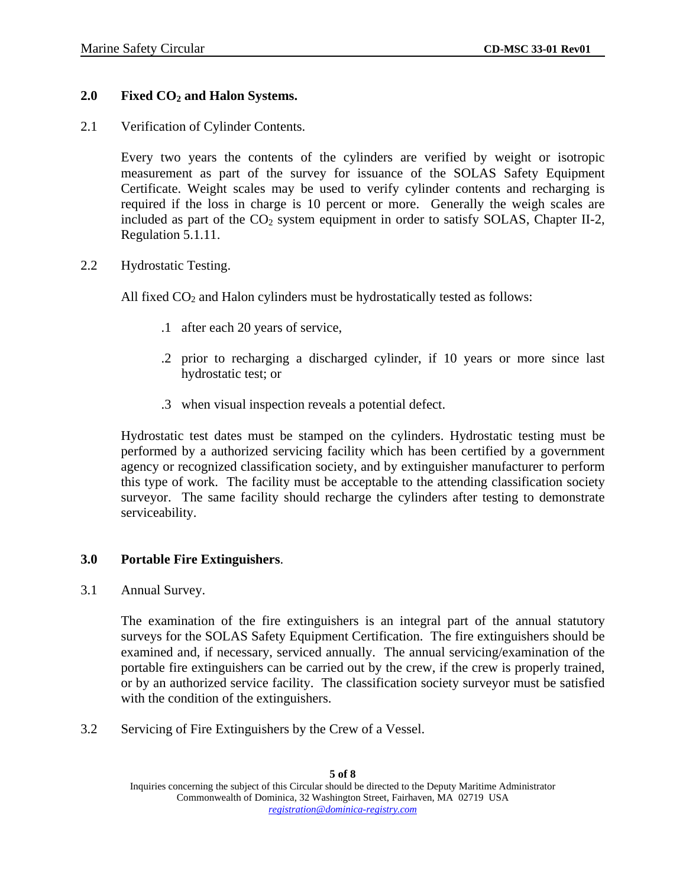## 2.0 Fixed CO<sub>2</sub> and Halon Systems.

2.1 Verification of Cylinder Contents.

Every two years the contents of the cylinders are verified by weight or isotropic measurement as part of the survey for issuance of the SOLAS Safety Equipment Certificate. Weight scales may be used to verify cylinder contents and recharging is required if the loss in charge is 10 percent or more. Generally the weigh scales are included as part of the  $CO<sub>2</sub>$  system equipment in order to satisfy SOLAS, Chapter II-2, Regulation 5.1.11.

2.2 Hydrostatic Testing.

All fixed  $CO<sub>2</sub>$  and Halon cylinders must be hydrostatically tested as follows:

- .1 after each 20 years of service,
- .2 prior to recharging a discharged cylinder, if 10 years or more since last hydrostatic test; or
- .3 when visual inspection reveals a potential defect.

Hydrostatic test dates must be stamped on the cylinders. Hydrostatic testing must be performed by a authorized servicing facility which has been certified by a government agency or recognized classification society, and by extinguisher manufacturer to perform this type of work. The facility must be acceptable to the attending classification society surveyor. The same facility should recharge the cylinders after testing to demonstrate serviceability.

#### **3.0 Portable Fire Extinguishers**.

3.1 Annual Survey.

The examination of the fire extinguishers is an integral part of the annual statutory surveys for the SOLAS Safety Equipment Certification. The fire extinguishers should be examined and, if necessary, serviced annually. The annual servicing/examination of the portable fire extinguishers can be carried out by the crew, if the crew is properly trained, or by an authorized service facility. The classification society surveyor must be satisfied with the condition of the extinguishers.

3.2 Servicing of Fire Extinguishers by the Crew of a Vessel.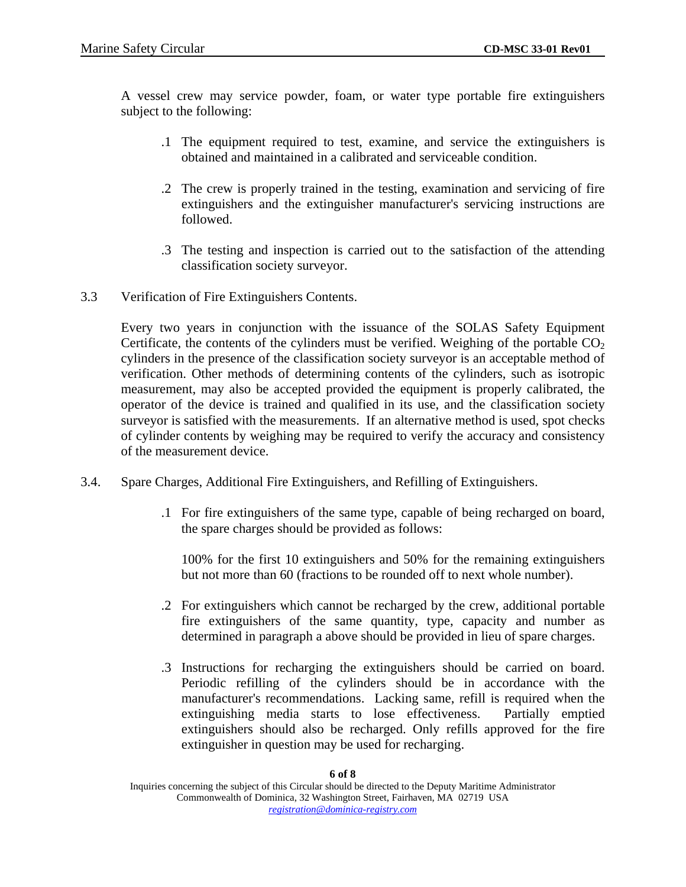A vessel crew may service powder, foam, or water type portable fire extinguishers subject to the following:

- .1 The equipment required to test, examine, and service the extinguishers is obtained and maintained in a calibrated and serviceable condition.
- .2 The crew is properly trained in the testing, examination and servicing of fire extinguishers and the extinguisher manufacturer's servicing instructions are followed.
- .3 The testing and inspection is carried out to the satisfaction of the attending classification society surveyor.
- 3.3 Verification of Fire Extinguishers Contents.

Every two years in conjunction with the issuance of the SOLAS Safety Equipment Certificate, the contents of the cylinders must be verified. Weighing of the portable  $CO<sub>2</sub>$ cylinders in the presence of the classification society surveyor is an acceptable method of verification. Other methods of determining contents of the cylinders, such as isotropic measurement, may also be accepted provided the equipment is properly calibrated, the operator of the device is trained and qualified in its use, and the classification society surveyor is satisfied with the measurements. If an alternative method is used, spot checks of cylinder contents by weighing may be required to verify the accuracy and consistency of the measurement device.

- 3.4. Spare Charges, Additional Fire Extinguishers, and Refilling of Extinguishers.
	- .1 For fire extinguishers of the same type, capable of being recharged on board, the spare charges should be provided as follows:

100% for the first 10 extinguishers and 50% for the remaining extinguishers but not more than 60 (fractions to be rounded off to next whole number).

- .2 For extinguishers which cannot be recharged by the crew, additional portable fire extinguishers of the same quantity, type, capacity and number as determined in paragraph a above should be provided in lieu of spare charges.
- .3 Instructions for recharging the extinguishers should be carried on board. Periodic refilling of the cylinders should be in accordance with the manufacturer's recommendations. Lacking same, refill is required when the extinguishing media starts to lose effectiveness. Partially emptied extinguishers should also be recharged. Only refills approved for the fire extinguisher in question may be used for recharging.

#### **6 of 8**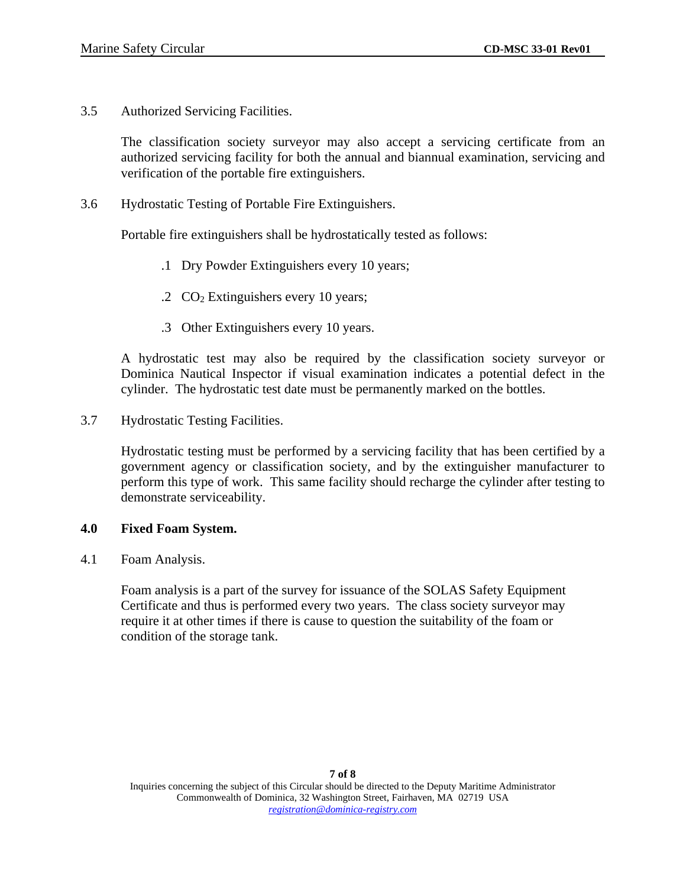3.5 Authorized Servicing Facilities.

The classification society surveyor may also accept a servicing certificate from an authorized servicing facility for both the annual and biannual examination, servicing and verification of the portable fire extinguishers.

3.6 Hydrostatic Testing of Portable Fire Extinguishers.

Portable fire extinguishers shall be hydrostatically tested as follows:

- .1 Dry Powder Extinguishers every 10 years;
- .2  $CO<sub>2</sub>$  Extinguishers every 10 years;
- .3 Other Extinguishers every 10 years.

A hydrostatic test may also be required by the classification society surveyor or Dominica Nautical Inspector if visual examination indicates a potential defect in the cylinder. The hydrostatic test date must be permanently marked on the bottles.

3.7 Hydrostatic Testing Facilities.

Hydrostatic testing must be performed by a servicing facility that has been certified by a government agency or classification society, and by the extinguisher manufacturer to perform this type of work. This same facility should recharge the cylinder after testing to demonstrate serviceability.

#### **4.0 Fixed Foam System.**

4.1 Foam Analysis.

Foam analysis is a part of the survey for issuance of the SOLAS Safety Equipment Certificate and thus is performed every two years. The class society surveyor may require it at other times if there is cause to question the suitability of the foam or condition of the storage tank.